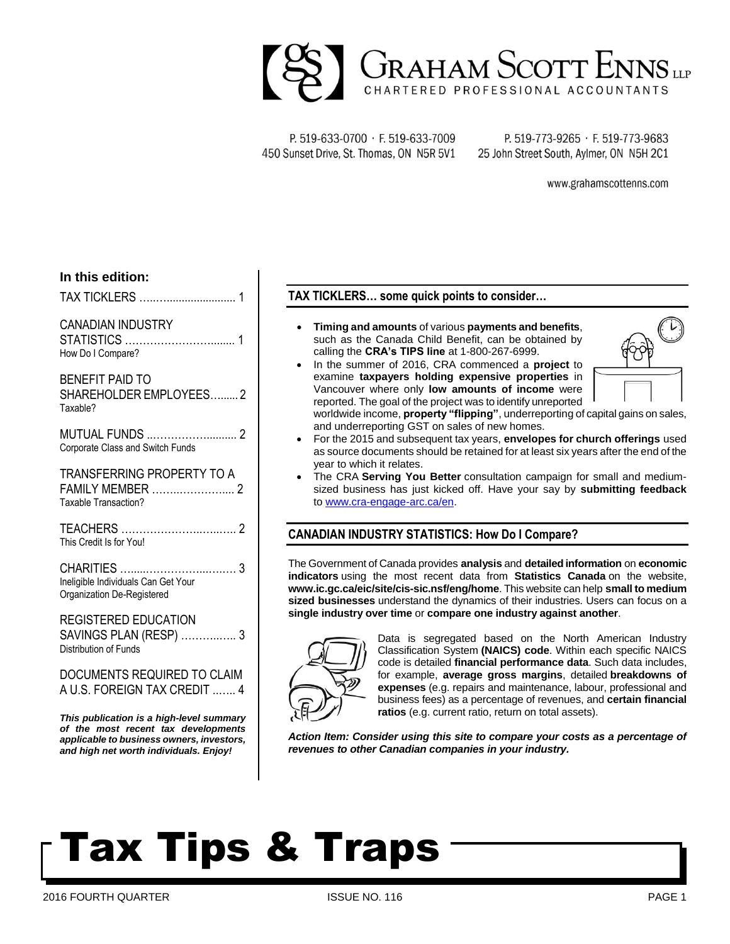

P. 519-633-0700 · F. 519-633-7009 450 Sunset Drive, St. Thomas, ON N5R 5V1

P. 519-773-9265 · F. 519-773-9683 25 John Street South, Aylmer, ON N5H 2C1

www.grahamscottenns.com

#### **In this edition:**

TAX TICKLERS …..…....................... 1

### CANADIAN INDUSTRY

STATISTICS ……………………........ 1 How Do I Compare?

BENEFIT PAID TO SHAREHOLDER EMPLOYEES…...... 2 Taxable?

MUTUAL FUNDS ..…………….......... 2 Corporate Class and Switch Funds

TRANSFERRING PROPERTY TO A FAMILY MEMBER ……..………….... 2 Taxable Transaction?

TEACHERS …………………..…..….. 2 This Credit Is for You!

CHARITIES ….....……………...….…. 3 Ineligible Individuals Can Get Your Organization De-Registered

### REGISTERED EDUCATION SAVINGS PLAN (RESP) ………..….. 3 Distribution of Funds

DOCUMENTS REQUIRED TO CLAIM A U.S. FOREIGN TAX CREDIT ..….. 4

*This publication is a high-level summary of the most recent tax developments applicable to business owners, investors, and high net worth individuals. Enjoy!*

## **TAX TICKLERS… some quick points to consider…**

- **Timing and amounts** of various **payments and benefits**, such as the Canada Child Benefit, can be obtained by calling the **CRA's TIPS line** at 1-800-267-6999.
- In the summer of 2016, CRA commenced a **project** to examine **taxpayers holding expensive properties** in Vancouver where only **low amounts of income** were reported. The goal of the project was to identify unreported



- worldwide income, **property "flipping"**, underreporting of capital gains on sales, and underreporting GST on sales of new homes.
- For the 2015 and subsequent tax years, **envelopes for church offerings** used as source documents should be retained for at least six years after the end of the year to which it relates.
- The CRA **Serving You Better** consultation campaign for small and mediumsized business has just kicked off. Have your say by **submitting feedback**  to [www.cra-engage-arc.ca/en.](https://www.cra-engage-arc.ca/en)

# **CANADIAN INDUSTRY STATISTICS: How Do I Compare?**

The Government of Canada provides **analysis** and **detailed information** on **economic indicators** using the most recent data from **Statistics Canada** on the website, **www.ic.gc.ca/eic/site/cis-sic.nsf/eng/home**. This website can help **small to medium sized businesses** understand the dynamics of their industries. Users can focus on a **single industry over time** or **compare one industry against another**.



Data is segregated based on the North American Industry Classification System **(NAICS) code**. Within each specific NAICS code is detailed **financial performance data**. Such data includes, for example, **average gross margins**, detailed **breakdowns of expenses** (e.g. repairs and maintenance, labour, professional and business fees) as a percentage of revenues, and **certain financial ratios** (e.g. current ratio, return on total assets).

*Action Item: Consider using this site to compare your costs as a percentage of revenues to other Canadian companies in your industry.*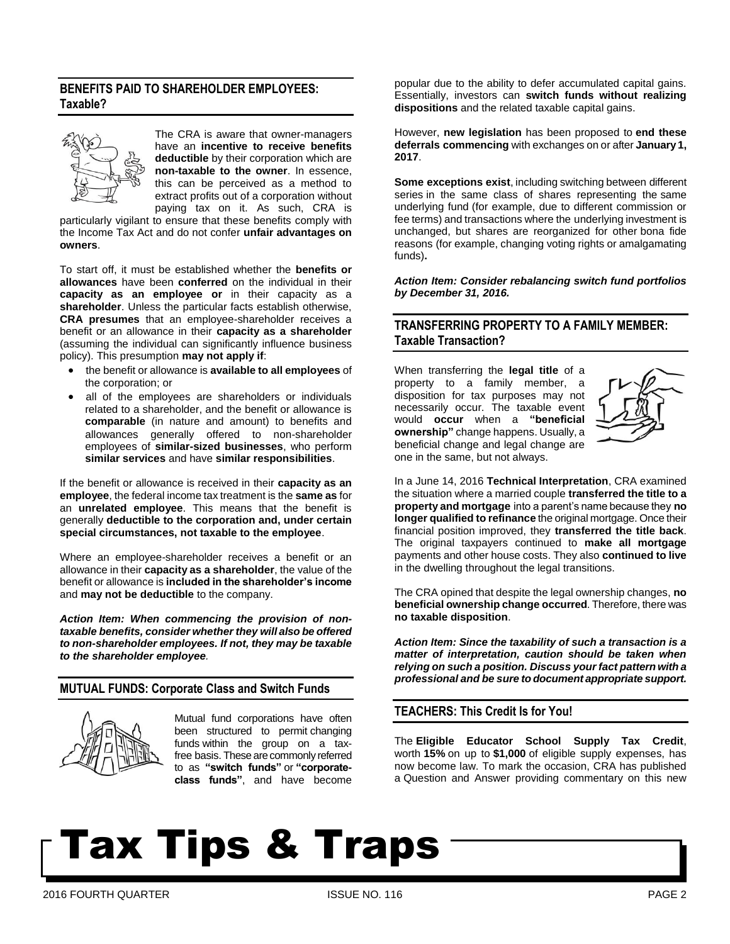## **BENEFITS PAID TO SHAREHOLDER EMPLOYEES: Taxable?**



The CRA is aware that owner-managers have an **incentive to receive benefits deductible** by their corporation which are **non-taxable to the owner**. In essence, this can be perceived as a method to extract profits out of a corporation without paying tax on it. As such, CRA is

particularly vigilant to ensure that these benefits comply with the Income Tax Act and do not confer **unfair advantages on owners**.

To start off, it must be established whether the **benefits or allowances** have been **conferred** on the individual in their **capacity as an employee or** in their capacity as a **shareholder**. Unless the particular facts establish otherwise, **CRA presumes** that an employee-shareholder receives a benefit or an allowance in their **capacity as a shareholder** (assuming the individual can significantly influence business policy). This presumption **may not apply if**:

- the benefit or allowance is **available to all employees** of the corporation; or
- all of the employees are shareholders or individuals related to a shareholder, and the benefit or allowance is **comparable** (in nature and amount) to benefits and allowances generally offered to non-shareholder employees of **similar-sized businesses**, who perform **similar services** and have **similar responsibilities**.

If the benefit or allowance is received in their **capacity as an employee**, the federal income tax treatment is the **same as** for an **unrelated employee**. This means that the benefit is generally **deductible to the corporation and, under certain special circumstances, not taxable to the employee**.

Where an employee-shareholder receives a benefit or an allowance in their **capacity as a shareholder**, the value of the benefit or allowance is **included in the shareholder's income**  and **may not be deductible** to the company.

*Action Item: When commencing the provision of nontaxable benefits, consider whether they will also be offered to non-shareholder employees. If not, they may be taxable to the shareholder employee.*

# **MUTUAL FUNDS: Corporate Class and Switch Funds**



Mutual fund corporations have often been structured to permit changing funds within the group on a taxfree basis. These are commonly referred to as **"switch funds"** or **"corporateclass funds"**, and have become

popular due to the ability to defer accumulated capital gains. Essentially, investors can **switch funds without realizing dispositions** and the related taxable capital gains.

However, **new legislation** has been proposed to **end these deferrals commencing** with exchanges on or after **January 1, 2017**.

**Some exceptions exist**, including switching between different series in the same class of shares representing the same underlying fund (for example, due to different commission or fee terms) and transactions where the underlying investment is unchanged, but shares are reorganized for other bona fide reasons (for example, changing voting rights or amalgamating funds)**.**

*Action Item: Consider rebalancing switch fund portfolios by December 31, 2016.*

## **TRANSFERRING PROPERTY TO A FAMILY MEMBER: Taxable Transaction?**

When transferring the **legal title** of a property to a family member, a disposition for tax purposes may not necessarily occur. The taxable event would **occur** when a **"beneficial ownership"** change happens. Usually, a beneficial change and legal change are one in the same, but not always.



In a June 14, 2016 **Technical Interpretation**, CRA examined the situation where a married couple **transferred the title to a property and mortgage** into a parent's name because they **no longer qualified to refinance** the original mortgage. Once their financial position improved, they **transferred the title back**. The original taxpayers continued to **make all mortgage** payments and other house costs. They also **continued to live** in the dwelling throughout the legal transitions.

The CRA opined that despite the legal ownership changes, **no beneficial ownership change occurred**. Therefore, there was **no taxable disposition**.

*Action Item: Since the taxability of such a transaction is a matter of interpretation, caution should be taken when relying on such a position. Discuss your fact pattern with a professional and be sure to document appropriate support.*

### **TEACHERS: This Credit Is for You!**

The **Eligible Educator School Supply Tax Credit**, worth **15%** on up to **\$1,000** of eligible supply expenses, has now become law. To mark the occasion, CRA has published a Question and Answer providing commentary on this new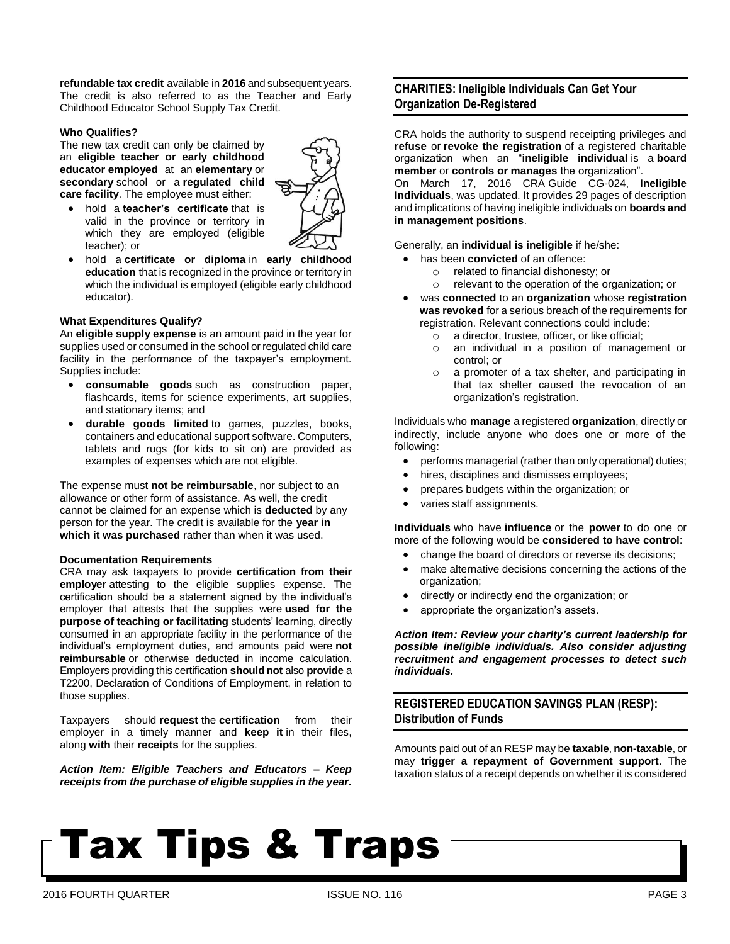**refundable tax credit** available in **2016** and subsequent years. The credit is also referred to as the Teacher and Early Childhood Educator School Supply Tax Credit.

#### **Who Qualifies?**

The new tax credit can only be claimed by an **eligible teacher or early childhood educator employed** at an **elementary** or **secondary** school or a **regulated child care facility**. The employee must either:



- hold a **teacher's certificate** that is valid in the province or territory in which they are employed (eligible teacher); or
- hold a **certificate or diploma** in **early childhood education** that is recognized in the province or territory in which the individual is employed (eligible early childhood educator).

#### **What Expenditures Qualify?**

An **eligible supply expense** is an amount paid in the year for supplies used or consumed in the school or regulated child care facility in the performance of the taxpayer's employment. Supplies include:

- **consumable goods** such as construction paper, flashcards, items for science experiments, art supplies, and stationary items; and
- **durable goods limited** to games, puzzles, books, containers and educational support software. Computers, tablets and rugs (for kids to sit on) are provided as examples of expenses which are not eligible.

The expense must **not be reimbursable**, nor subject to an allowance or other form of assistance. As well, the credit cannot be claimed for an expense which is **deducted** by any person for the year. The credit is available for the **year in which it was purchased** rather than when it was used.

#### **Documentation Requirements**

CRA may ask taxpayers to provide **certification from their employer** attesting to the eligible supplies expense. The certification should be a statement signed by the individual's employer that attests that the supplies were **used for the purpose of teaching or facilitating** students' learning, directly consumed in an appropriate facility in the performance of the individual's employment duties, and amounts paid were **not reimbursable** or otherwise deducted in income calculation. Employers providing this certification **should not** also **provide** a T2200, Declaration of Conditions of Employment, in relation to those supplies.

Taxpayers should **request** the **certification** from their employer in a timely manner and **keep it** in their files, along **with** their **receipts** for the supplies.

*Action Item: Eligible Teachers and Educators – Keep receipts from the purchase of eligible supplies in the year.*

## **CHARITIES: Ineligible Individuals Can Get Your Organization De-Registered**

CRA holds the authority to suspend receipting privileges and **refuse** or **revoke the registration** of a registered charitable organization when an "**ineligible individual** is a **board member** or **controls or manages** the organization".

On March 17, 2016 CRA Guide CG-024, **Ineligible Individuals**, was updated. It provides 29 pages of description and implications of having ineligible individuals on **boards and in management positions**.

Generally, an **individual is ineligible** if he/she:

- has been **convicted** of an offence:
	- o related to financial dishonesty; or
	- o relevant to the operation of the organization; or
- was **connected** to an **organization** whose **registration was revoked** for a serious breach of the requirements for registration. Relevant connections could include:
	- o a director, trustee, officer, or like official;
	- o an individual in a position of management or control; or
	- o a promoter of a tax shelter, and participating in that tax shelter caused the revocation of an organization's registration.

Individuals who **manage** a registered **organization**, directly or indirectly, include anyone who does one or more of the following:

- performs managerial (rather than only operational) duties;
- hires, disciplines and dismisses employees;
- prepares budgets within the organization; or
- varies staff assignments.

**Individuals** who have **influence** or the **power** to do one or more of the following would be **considered to have control**:

- change the board of directors or reverse its decisions;
- make alternative decisions concerning the actions of the organization;
- directly or indirectly end the organization; or
- appropriate the organization's assets.

*Action Item: Review your charity's current leadership for possible ineligible individuals. Also consider adjusting recruitment and engagement processes to detect such individuals.*

# **REGISTERED EDUCATION SAVINGS PLAN (RESP): Distribution of Funds**

Amounts paid out of an RESP may be **taxable**, **non-taxable**, or may **trigger a repayment of Government support**. The taxation status of a receipt depends on whether it is considered